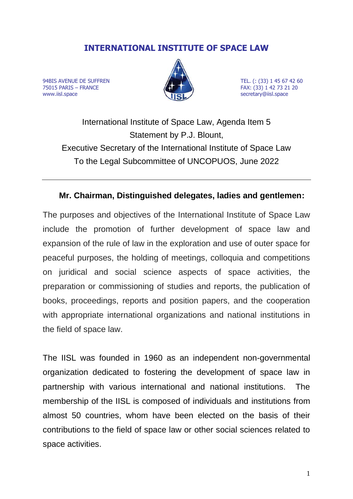# **INTERNATIONAL INSTITUTE OF SPACE LAW**

94BIS AVENUE DE SUFFREN **TEL.** (: (33) 1 45 67 42 60 75015 PARIS – FRANCE FAX: (33) 1 42 73 21 20 www.iisl.space secretary@iisl.space secretary@iisl.space



International Institute of Space Law, Agenda Item 5 Statement by P.J. Blount, Executive Secretary of the International Institute of Space Law To the Legal Subcommittee of UNCOPUOS, June 2022

### **Mr. Chairman, Distinguished delegates, ladies and gentlemen:**

The purposes and objectives of the International Institute of Space Law include the promotion of further development of space law and expansion of the rule of law in the exploration and use of outer space for peaceful purposes, the holding of meetings, colloquia and competitions on juridical and social science aspects of space activities, the preparation or commissioning of studies and reports, the publication of books, proceedings, reports and position papers, and the cooperation with appropriate international organizations and national institutions in the field of space law.

The IISL was founded in 1960 as an independent non-governmental organization dedicated to fostering the development of space law in partnership with various international and national institutions. The membership of the IISL is composed of individuals and institutions from almost 50 countries, whom have been elected on the basis of their contributions to the field of space law or other social sciences related to space activities.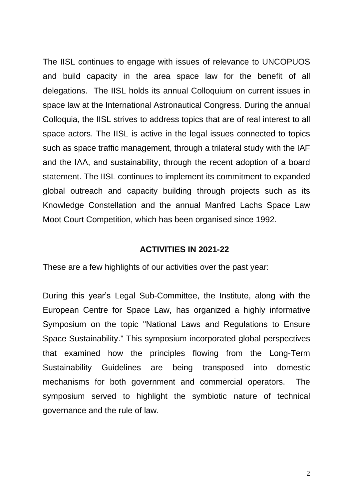The IISL continues to engage with issues of relevance to UNCOPUOS and build capacity in the area space law for the benefit of all delegations. The IISL holds its annual Colloquium on current issues in space law at the International Astronautical Congress. During the annual Colloquia, the IISL strives to address topics that are of real interest to all space actors. The IISL is active in the legal issues connected to topics such as space traffic management, through a trilateral study with the IAF and the IAA, and sustainability, through the recent adoption of a board statement. The IISL continues to implement its commitment to expanded global outreach and capacity building through projects such as its Knowledge Constellation and the annual Manfred Lachs Space Law Moot Court Competition, which has been organised since 1992.

#### **ACTIVITIES IN 2021-22**

These are a few highlights of our activities over the past year:

During this year's Legal Sub-Committee, the Institute, along with the European Centre for Space Law, has organized a highly informative Symposium on the topic "National Laws and Regulations to Ensure Space Sustainability." This symposium incorporated global perspectives that examined how the principles flowing from the Long-Term Sustainability Guidelines are being transposed into domestic mechanisms for both government and commercial operators. The symposium served to highlight the symbiotic nature of technical governance and the rule of law.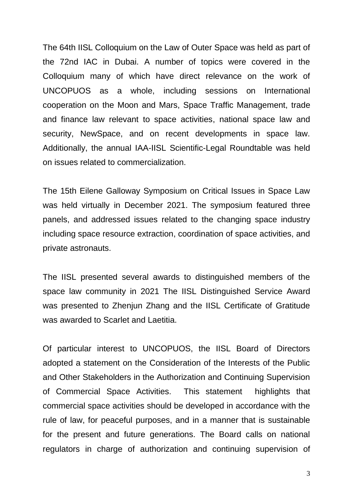The 64th IISL Colloquium on the Law of Outer Space was held as part of the 72nd IAC in Dubai. A number of topics were covered in the Colloquium many of which have direct relevance on the work of UNCOPUOS as a whole, including sessions on International cooperation on the Moon and Mars, Space Traffic Management, trade and finance law relevant to space activities, national space law and security, NewSpace, and on recent developments in space law. Additionally, the annual IAA-IISL Scientific-Legal Roundtable was held on issues related to commercialization.

The 15th Eilene Galloway Symposium on Critical Issues in Space Law was held virtually in December 2021. The symposium featured three panels, and addressed issues related to the changing space industry including space resource extraction, coordination of space activities, and private astronauts.

The IISL presented several awards to distinguished members of the space law community in 2021 The IISL Distinguished Service Award was presented to Zhenjun Zhang and the IISL Certificate of Gratitude was awarded to Scarlet and Laetitia.

Of particular interest to UNCOPUOS, the IISL Board of Directors adopted a statement on the Consideration of the Interests of the Public and Other Stakeholders in the Authorization and Continuing Supervision of Commercial Space Activities. This statement highlights that commercial space activities should be developed in accordance with the rule of law, for peaceful purposes, and in a manner that is sustainable for the present and future generations. The Board calls on national regulators in charge of authorization and continuing supervision of

3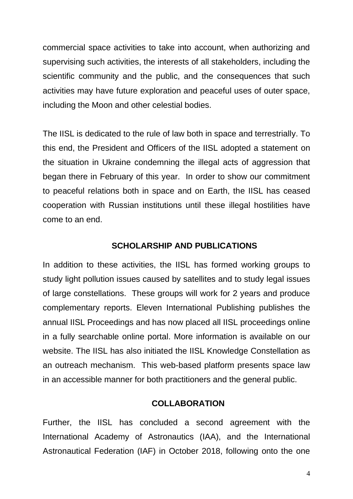commercial space activities to take into account, when authorizing and supervising such activities, the interests of all stakeholders, including the scientific community and the public, and the consequences that such activities may have future exploration and peaceful uses of outer space, including the Moon and other celestial bodies.

The IISL is dedicated to the rule of law both in space and terrestrially. To this end, the President and Officers of the IISL adopted a statement on the situation in Ukraine condemning the illegal acts of aggression that began there in February of this year. In order to show our commitment to peaceful relations both in space and on Earth, the IISL has ceased cooperation with Russian institutions until these illegal hostilities have come to an end.

#### **SCHOLARSHIP AND PUBLICATIONS**

In addition to these activities, the IISL has formed working groups to study light pollution issues caused by satellites and to study legal issues of large constellations. These groups will work for 2 years and produce complementary reports. Eleven International Publishing publishes the annual IISL Proceedings and has now placed all IISL proceedings online in a fully searchable online portal. More information is available on our website. The IISL has also initiated the IISL Knowledge Constellation as an outreach mechanism. This web-based platform presents space law in an accessible manner for both practitioners and the general public.

#### **COLLABORATION**

Further, the IISL has concluded a second agreement with the International Academy of Astronautics (IAA), and the International Astronautical Federation (IAF) in October 2018, following onto the one